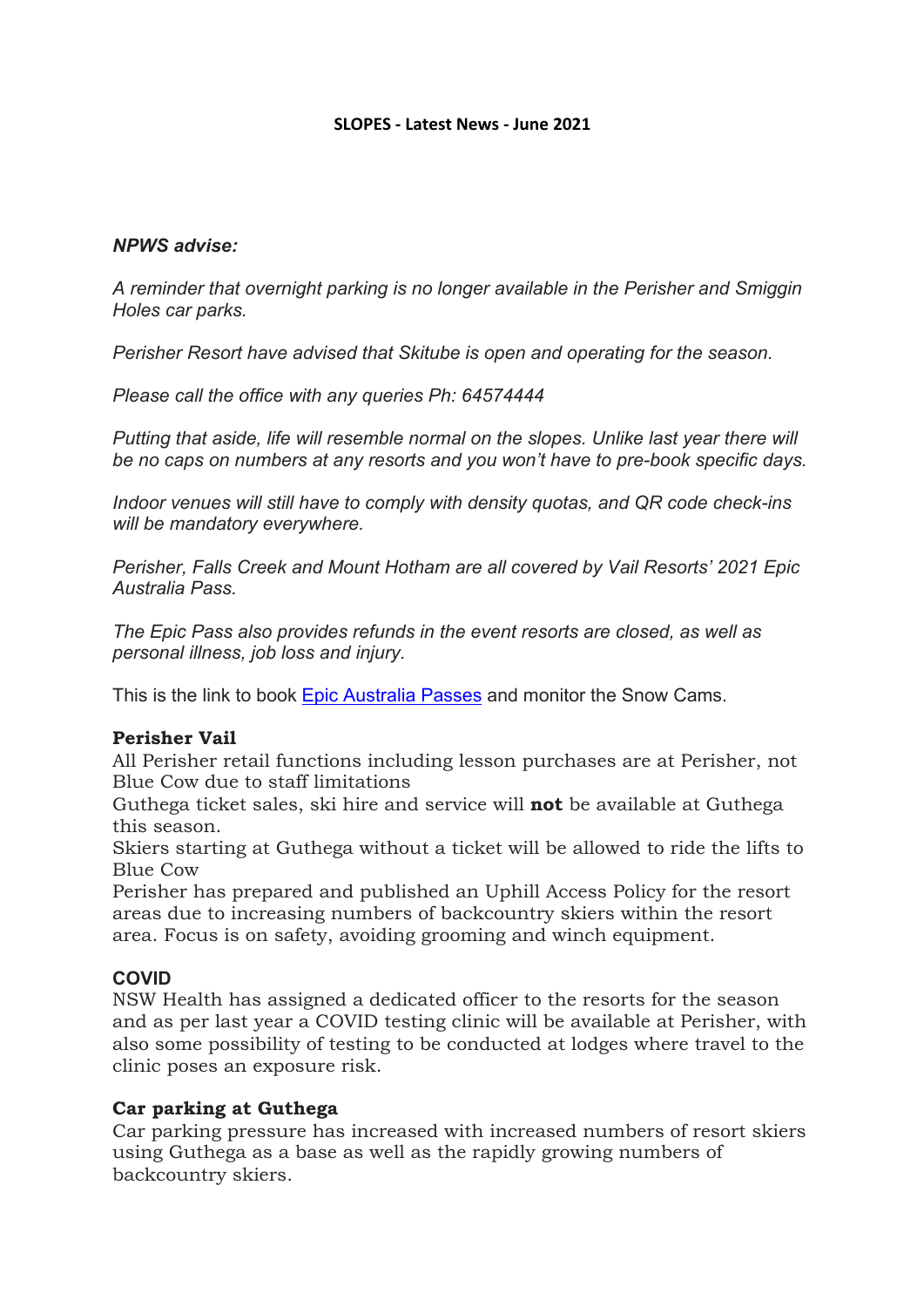#### **SLOPES - Latest News - June 2021**

### *NPWS advise:*

*A reminder that overnight parking is no longer available in the Perisher and Smiggin Holes car parks.* 

*Perisher Resort have advised that Skitube is open and operating for the season.* 

*Please call the office with any queries Ph: 64574444*

*Putting that aside, life will resemble normal on the slopes. Unlike last year there will be no caps on numbers at any resorts and you won't have to pre-book specific days.* 

*Indoor venues will still have to comply with density quotas, and QR code check-ins will be mandatory everywhere.*

*Perisher, Falls Creek and Mount Hotham are all covered by Vail Resorts' 2021 Epic Australia Pass.* 

*The Epic Pass also provides refunds in the event resorts are closed, as well as personal illness, job loss and injury.*

This is the link to book Epic Australia Passes and monitor the Snow Cams.

## **Perisher Vail**

All Perisher retail functions including lesson purchases are at Perisher, not Blue Cow due to staff limitations

Guthega ticket sales, ski hire and service will **not** be available at Guthega this season.

Skiers starting at Guthega without a ticket will be allowed to ride the lifts to Blue Cow

Perisher has prepared and published an Uphill Access Policy for the resort areas due to increasing numbers of backcountry skiers within the resort area. Focus is on safety, avoiding grooming and winch equipment.

## **COVID**

NSW Health has assigned a dedicated officer to the resorts for the season and as per last year a COVID testing clinic will be available at Perisher, with also some possibility of testing to be conducted at lodges where travel to the clinic poses an exposure risk.

#### **Car parking at Guthega**

Car parking pressure has increased with increased numbers of resort skiers using Guthega as a base as well as the rapidly growing numbers of backcountry skiers.